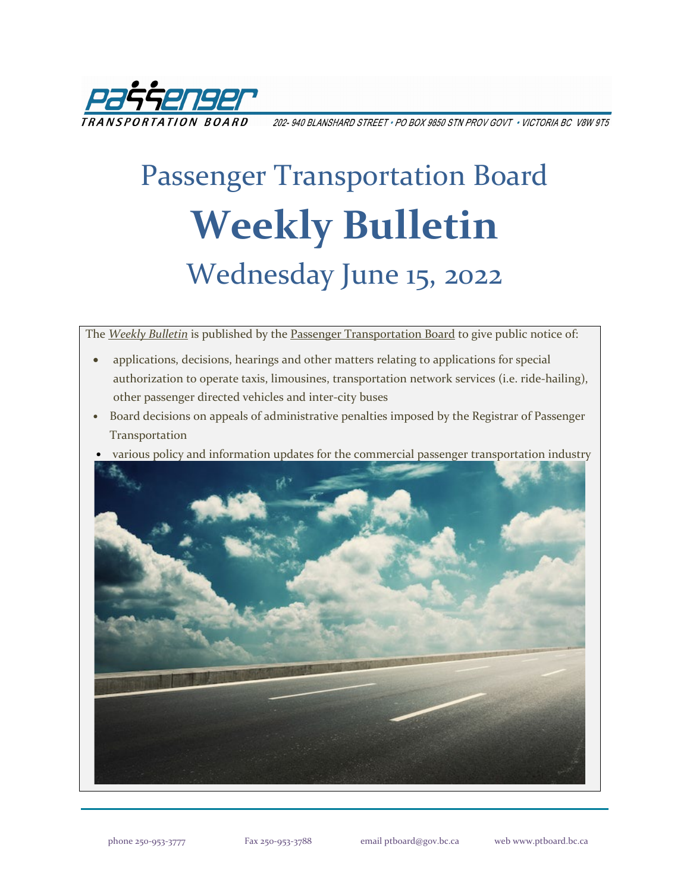

202-940 BLANSHARD STREET • PO BOX 9850 STN PROV GOVT • VICTORIA BC V8W 9T5

# Passenger Transportation Board **Weekly Bulletin** Wednesday June 15, 2022

The *[Weekly Bulletin](https://www.ptboard.bc.ca/bulletins.htm)* is published by th[e Passenger Transportation Board](https://www.ptboard.bc.ca/index.htm) to give public notice of:

- applications, decisions, hearings and other matters relating to applications for special authorization to operate taxis, limousines, transportation network services (i.e. ride-hailing), other passenger directed vehicles and inter-city buses
- Board decisions on appeals of administrative penalties imposed by the Registrar of Passenger Transportation
- various policy and information updates for the commercial passenger transportation industry

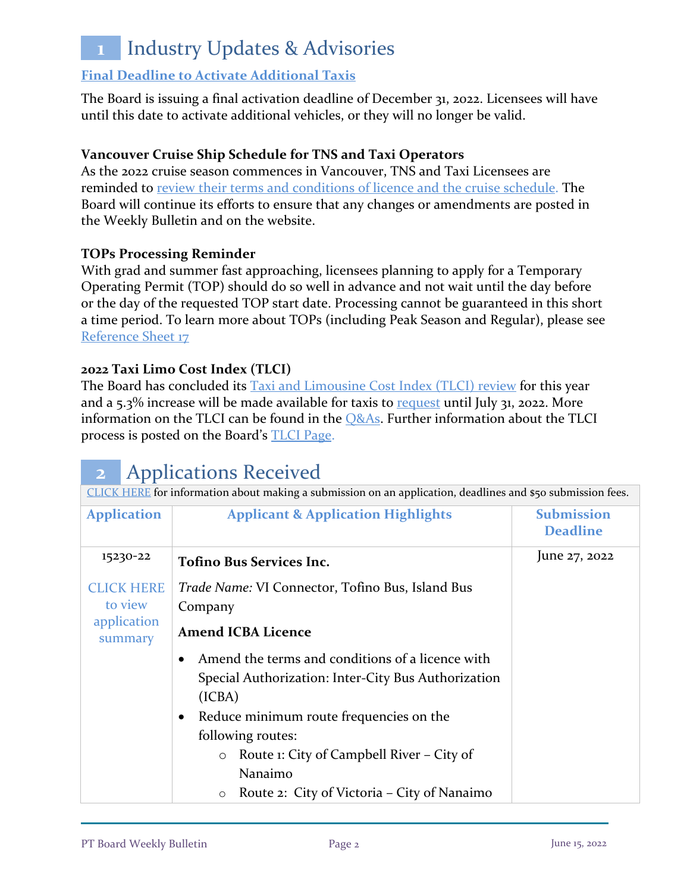## **1** Industry Updates & Advisories

#### **[Final Deadline to Activate Additional Taxis](https://www.ptboard.bc.ca/documents/ia-taxi-activation-final-extension-2022.pdf)**

The Board is issuing a final activation deadline of December 31, 2022. Licensees will have until this date to activate additional vehicles, or they will no longer be valid.

#### **Vancouver Cruise Ship Schedule for TNS and Taxi Operators**

As the 2022 cruise season commences in Vancouver, TNS and Taxi Licensees are reminded to [review their terms and conditions of licence and the cruise schedule.](https://www.ptboard.bc.ca/documents/ia-Vancouver-Cruise-Ship-Season-Reminder-2022.pdf) The Board will continue its efforts to ensure that any changes or amendments are posted in the Weekly Bulletin and on the website.

#### **TOPs Processing Reminder**

With grad and summer fast approaching, licensees planning to apply for a Temporary Operating Permit (TOP) should do so well in advance and not wait until the day before or the day of the requested TOP start date. Processing cannot be guaranteed in this short a time period. To learn more about TOPs (including Peak Season and Regular), please see [Reference Sheet 17](http://www.th.gov.bc.ca/forms/getForm.aspx?formId=1351)

#### **2022 Taxi Limo Cost Index (TLCI)**

The Board has concluded its [Taxi and Limousine Cost Index \(TLCI\) review](https://www.ptboard.bc.ca/documents/ia-tlci-2022.pdf) for this year and a  $5.3\%$  increase will be made available for taxis to [request](https://www.th.gov.bc.ca/forms/getForm.aspx?formId=1377) until July 31, 2022. More information on the TLCI can be found in the **Q&As**. Further information about the TLCI process is posted on the Board's [TLCI Page.](https://www.ptboard.bc.ca/tlci.htm)

### **2** Applications Received

| CLICK HERE for information about making a submission on an application, deadlines and \$50 submission fees. |                                                                                                                                                                                                                                                                                                                             |                                      |  |
|-------------------------------------------------------------------------------------------------------------|-----------------------------------------------------------------------------------------------------------------------------------------------------------------------------------------------------------------------------------------------------------------------------------------------------------------------------|--------------------------------------|--|
| <b>Application</b>                                                                                          | <b>Applicant &amp; Application Highlights</b>                                                                                                                                                                                                                                                                               | <b>Submission</b><br><b>Deadline</b> |  |
| 15230-22                                                                                                    | <b>Tofino Bus Services Inc.</b>                                                                                                                                                                                                                                                                                             | June 27, 2022                        |  |
| <b>CLICK HERE</b><br>to view                                                                                | <i>Trade Name:</i> VI Connector, Tofino Bus, Island Bus<br>Company                                                                                                                                                                                                                                                          |                                      |  |
| application<br>summary                                                                                      | <b>Amend ICBA Licence</b>                                                                                                                                                                                                                                                                                                   |                                      |  |
|                                                                                                             | Amend the terms and conditions of a licence with<br>Special Authorization: Inter-City Bus Authorization<br>(ICBA)<br>Reduce minimum route frequencies on the<br>$\bullet$<br>following routes:<br>Route 1: City of Campbell River - City of<br>$\circ$<br>Nanaimo<br>Route 2: City of Victoria – City of Nanaimo<br>$\circ$ |                                      |  |